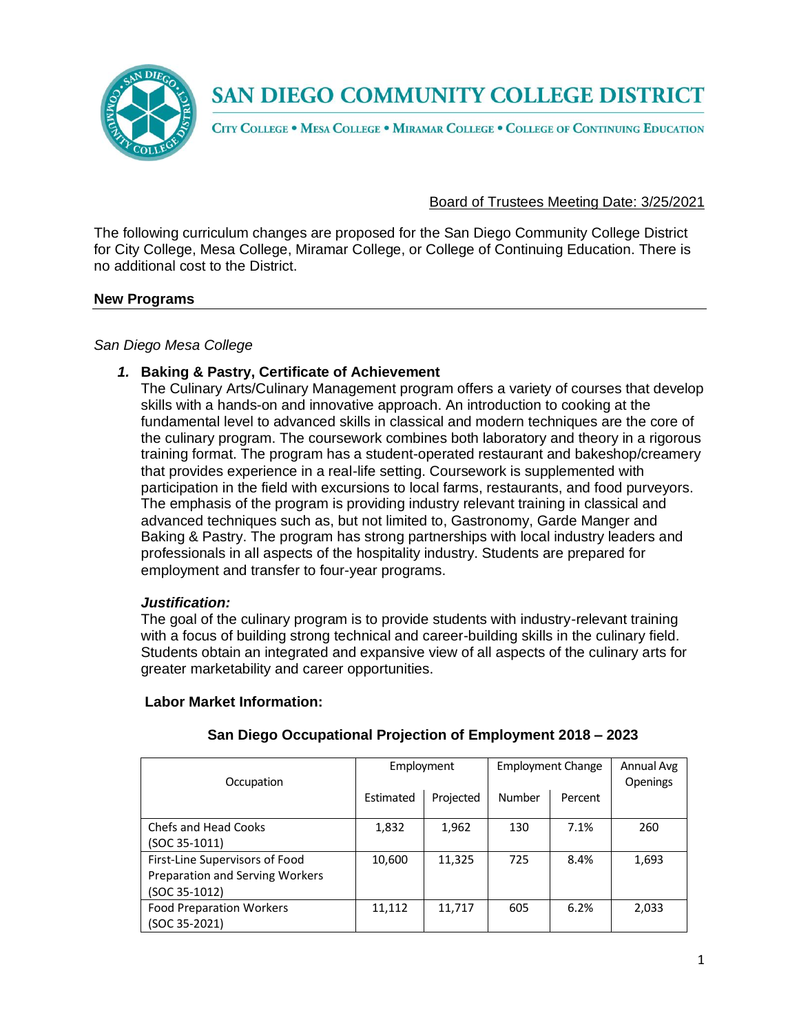

CITY COLLEGE . MESA COLLEGE . MIRAMAR COLLEGE . COLLEGE OF CONTINUING EDUCATION

### Board of Trustees Meeting Date: 3/25/2021

The following curriculum changes are proposed for the San Diego Community College District for City College, Mesa College, Miramar College, or College of Continuing Education. There is no additional cost to the District.

#### **New Programs**

#### *San Diego Mesa College*

#### *1.* **Baking & Pastry, Certificate of Achievement**

The Culinary Arts/Culinary Management program offers a variety of courses that develop skills with a hands-on and innovative approach. An introduction to cooking at the fundamental level to advanced skills in classical and modern techniques are the core of the culinary program. The coursework combines both laboratory and theory in a rigorous training format. The program has a student-operated restaurant and bakeshop/creamery that provides experience in a real-life setting. Coursework is supplemented with participation in the field with excursions to local farms, restaurants, and food purveyors. The emphasis of the program is providing industry relevant training in classical and advanced techniques such as, but not limited to, Gastronomy, Garde Manger and Baking & Pastry. The program has strong partnerships with local industry leaders and professionals in all aspects of the hospitality industry. Students are prepared for employment and transfer to four-year programs.

#### *Justification:*

The goal of the culinary program is to provide students with industry-relevant training with a focus of building strong technical and career-building skills in the culinary field. Students obtain an integrated and expansive view of all aspects of the culinary arts for greater marketability and career opportunities.

#### **Labor Market Information:**

| Occupation                      | Employment |           | <b>Employment Change</b> |         | Annual Avg<br>Openings |
|---------------------------------|------------|-----------|--------------------------|---------|------------------------|
|                                 | Estimated  | Projected | Number                   | Percent |                        |
| Chefs and Head Cooks            | 1,832      | 1,962     | 130                      | 7.1%    | 260                    |
| $(SOC 35-1011)$                 |            |           |                          |         |                        |
| First-Line Supervisors of Food  | 10,600     | 11,325    | 725                      | 8.4%    | 1,693                  |
| Preparation and Serving Workers |            |           |                          |         |                        |
| $(SOC 35-1012)$                 |            |           |                          |         |                        |
| <b>Food Preparation Workers</b> | 11,112     | 11,717    | 605                      | 6.2%    | 2,033                  |
| (SOC 35-2021)                   |            |           |                          |         |                        |

#### **San Diego Occupational Projection of Employment 2018 – 2023**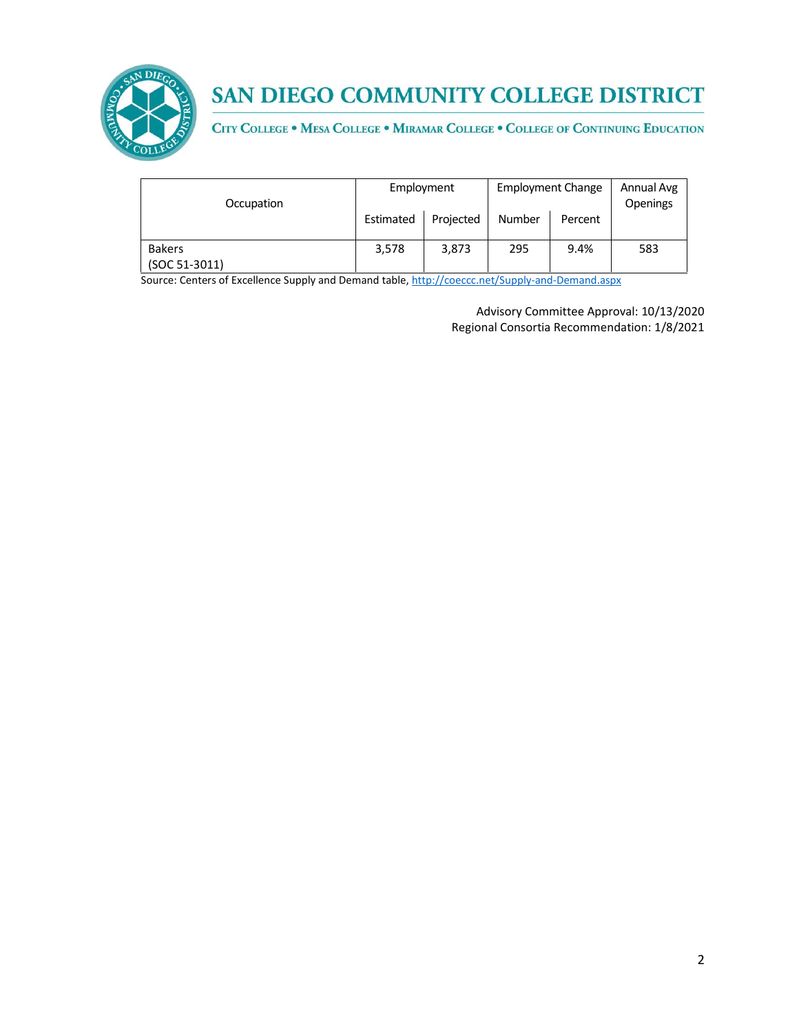

CITY COLLEGE . MESA COLLEGE . MIRAMAR COLLEGE . COLLEGE OF CONTINUING EDUCATION

| Occupation      | Employment |           | <b>Employment Change</b> |         | Annual Avg<br>Openings |
|-----------------|------------|-----------|--------------------------|---------|------------------------|
|                 | Estimated  | Projected | Number                   | Percent |                        |
| <b>Bakers</b>   | 3,578      | 3,873     | 295                      | 9.4%    | 583                    |
| $(SOC 51-3011)$ |            |           |                          |         |                        |

Source: Centers of Excellence Supply and Demand table, <http://coeccc.net/Supply-and-Demand.aspx>

Advisory Committee Approval: 10/13/2020 Regional Consortia Recommendation: 1/8/2021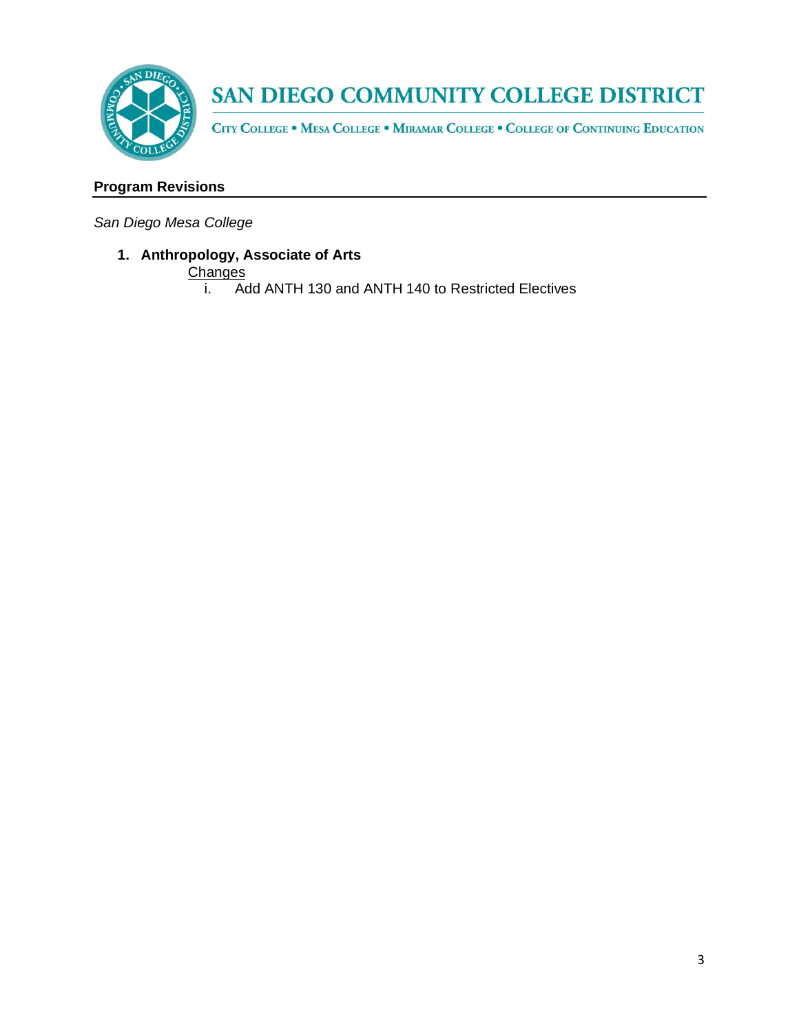

CITY COLLEGE . MESA COLLEGE . MIRAMAR COLLEGE . COLLEGE OF CONTINUING EDUCATION

## **Program Revisions**

*San Diego Mesa College*

## **1. Anthropology, Associate of Arts**

- **Changes** 
	- i. Add ANTH 130 and ANTH 140 to Restricted Electives